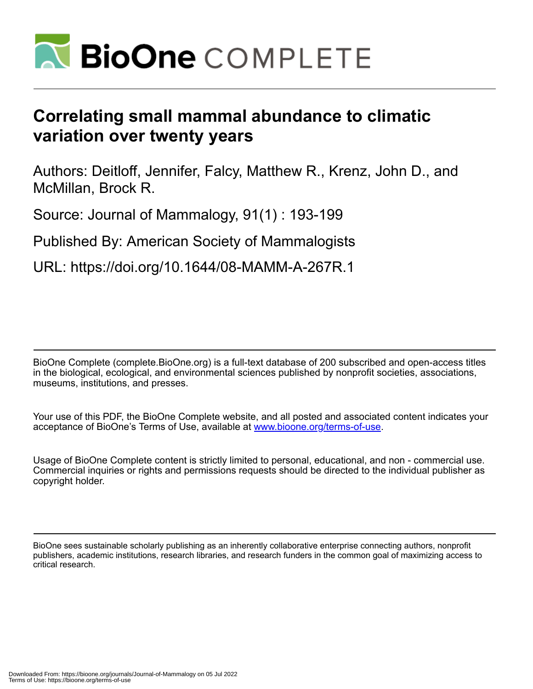

# **Correlating small mammal abundance to climatic variation over twenty years**

Authors: Deitloff, Jennifer, Falcy, Matthew R., Krenz, John D., and McMillan, Brock R.

Source: Journal of Mammalogy, 91(1) : 193-199

Published By: American Society of Mammalogists

URL: https://doi.org/10.1644/08-MAMM-A-267R.1

BioOne Complete (complete.BioOne.org) is a full-text database of 200 subscribed and open-access titles in the biological, ecological, and environmental sciences published by nonprofit societies, associations, museums, institutions, and presses.

Your use of this PDF, the BioOne Complete website, and all posted and associated content indicates your acceptance of BioOne's Terms of Use, available at www.bioone.org/terms-of-use.

Usage of BioOne Complete content is strictly limited to personal, educational, and non - commercial use. Commercial inquiries or rights and permissions requests should be directed to the individual publisher as copyright holder.

BioOne sees sustainable scholarly publishing as an inherently collaborative enterprise connecting authors, nonprofit publishers, academic institutions, research libraries, and research funders in the common goal of maximizing access to critical research.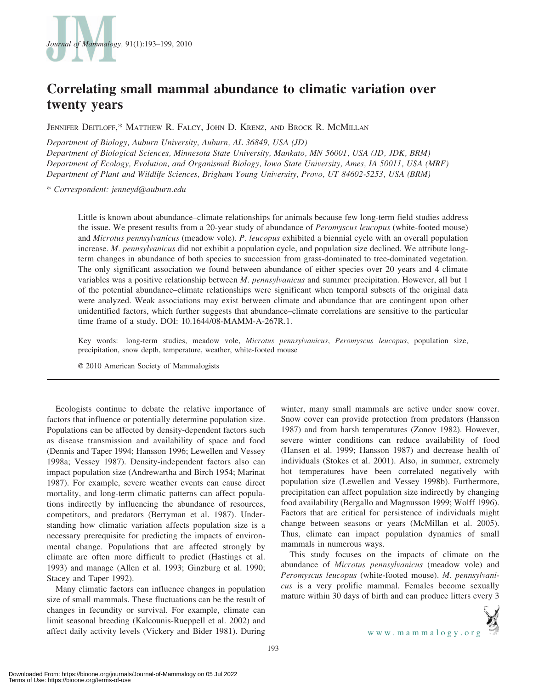

# Correlating small mammal abundance to climatic variation over twenty years

JENNIFER DEITLOFF,\* MATTHEW R. FALCY, JOHN D. KRENZ, AND BROCK R. MCMILLAN

Department of Biology, Auburn University, Auburn, AL 36849, USA (JD) Department of Biological Sciences, Minnesota State University, Mankato, MN 56001, USA (JD, JDK, BRM) Department of Ecology, Evolution, and Organismal Biology, Iowa State University, Ames, IA 50011, USA (MRF) Department of Plant and Wildlife Sciences, Brigham Young University, Provo, UT 84602-5253, USA (BRM)

\* Correspondent: jenneyd@auburn.edu

Little is known about abundance–climate relationships for animals because few long-term field studies address the issue. We present results from a 20-year study of abundance of *Peromyscus leucopus* (white-footed mouse) and Microtus pennsylvanicus (meadow vole). P. leucopus exhibited a biennial cycle with an overall population increase. M. pennsylvanicus did not exhibit a population cycle, and population size declined. We attribute longterm changes in abundance of both species to succession from grass-dominated to tree-dominated vegetation. The only significant association we found between abundance of either species over 20 years and 4 climate variables was a positive relationship between *M. pennsylvanicus* and summer precipitation. However, all but 1 of the potential abundance–climate relationships were significant when temporal subsets of the original data were analyzed. Weak associations may exist between climate and abundance that are contingent upon other unidentified factors, which further suggests that abundance–climate correlations are sensitive to the particular time frame of a study. DOI: 10.1644/08-MAMM-A-267R.1.

Key words: long-term studies, meadow vole, Microtus pennsylvanicus, Peromyscus leucopus, population size, precipitation, snow depth, temperature, weather, white-footed mouse

E 2010 American Society of Mammalogists

Ecologists continue to debate the relative importance of factors that influence or potentially determine population size. Populations can be affected by density-dependent factors such as disease transmission and availability of space and food (Dennis and Taper 1994; Hansson 1996; Lewellen and Vessey 1998a; Vessey 1987). Density-independent factors also can impact population size (Andrewartha and Birch 1954; Marinat 1987). For example, severe weather events can cause direct mortality, and long-term climatic patterns can affect populations indirectly by influencing the abundance of resources, competitors, and predators (Berryman et al. 1987). Understanding how climatic variation affects population size is a necessary prerequisite for predicting the impacts of environmental change. Populations that are affected strongly by climate are often more difficult to predict (Hastings et al. 1993) and manage (Allen et al. 1993; Ginzburg et al. 1990; Stacey and Taper 1992).

Many climatic factors can influence changes in population size of small mammals. These fluctuations can be the result of changes in fecundity or survival. For example, climate can limit seasonal breeding (Kalcounis-Rueppell et al. 2002) and affect daily activity levels (Vickery and Bider 1981). During winter, many small mammals are active under snow cover. Snow cover can provide protection from predators (Hansson 1987) and from harsh temperatures (Zonov 1982). However, severe winter conditions can reduce availability of food (Hansen et al. 1999; Hansson 1987) and decrease health of individuals (Stokes et al. 2001). Also, in summer, extremely hot temperatures have been correlated negatively with population size (Lewellen and Vessey 1998b). Furthermore, precipitation can affect population size indirectly by changing food availability (Bergallo and Magnusson 1999; Wolff 1996). Factors that are critical for persistence of individuals might change between seasons or years (McMillan et al. 2005). Thus, climate can impact population dynamics of small mammals in numerous ways.

This study focuses on the impacts of climate on the abundance of Microtus pennsylvanicus (meadow vole) and Peromyscus leucopus (white-footed mouse). M. pennsylvanicus is a very prolific mammal. Females become sexually mature within 30 days of birth and can produce litters every 3

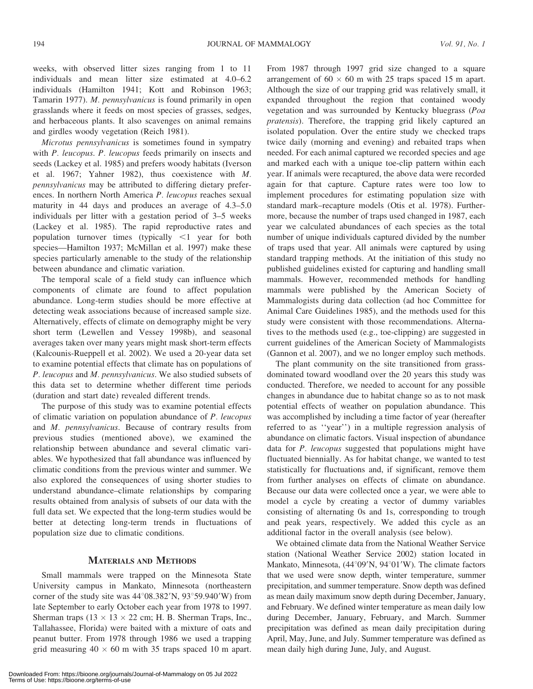weeks, with observed litter sizes ranging from 1 to 11 individuals and mean litter size estimated at 4.0–6.2 individuals (Hamilton 1941; Kott and Robinson 1963; Tamarin 1977). M. pennsylvanicus is found primarily in open grasslands where it feeds on most species of grasses, sedges, and herbaceous plants. It also scavenges on animal remains and girdles woody vegetation (Reich 1981).

Microtus pennsylvanicus is sometimes found in sympatry with P. leucopus. P. leucopus feeds primarily on insects and seeds (Lackey et al. 1985) and prefers woody habitats (Iverson et al. 1967; Yahner 1982), thus coexistence with M. pennsylvanicus may be attributed to differing dietary preferences. In northern North America P. leucopus reaches sexual maturity in 44 days and produces an average of 4.3–5.0 individuals per litter with a gestation period of 3–5 weeks (Lackey et al. 1985). The rapid reproductive rates and population turnover times (typically  $\leq 1$  year for both species—Hamilton 1937; McMillan et al. 1997) make these species particularly amenable to the study of the relationship between abundance and climatic variation.

The temporal scale of a field study can influence which components of climate are found to affect population abundance. Long-term studies should be more effective at detecting weak associations because of increased sample size. Alternatively, effects of climate on demography might be very short term (Lewellen and Vessey 1998b), and seasonal averages taken over many years might mask short-term effects (Kalcounis-Rueppell et al. 2002). We used a 20-year data set to examine potential effects that climate has on populations of P. leucopus and M. pennsylvanicus. We also studied subsets of this data set to determine whether different time periods (duration and start date) revealed different trends.

The purpose of this study was to examine potential effects of climatic variation on population abundance of P. leucopus and M. pennsylvanicus. Because of contrary results from previous studies (mentioned above), we examined the relationship between abundance and several climatic variables. We hypothesized that fall abundance was influenced by climatic conditions from the previous winter and summer. We also explored the consequences of using shorter studies to understand abundance–climate relationships by comparing results obtained from analysis of subsets of our data with the full data set. We expected that the long-term studies would be better at detecting long-term trends in fluctuations of population size due to climatic conditions.

## MATERIALS AND METHODS

Small mammals were trapped on the Minnesota State University campus in Mankato, Minnesota (northeastern corner of the study site was  $44^{\circ}08.382'N$ ,  $93^{\circ}59.940'W$ ) from late September to early October each year from 1978 to 1997. Sherman traps ( $13 \times 13 \times 22$  cm; H. B. Sherman Traps, Inc., Tallahassee, Florida) were baited with a mixture of oats and peanut butter. From 1978 through 1986 we used a trapping grid measuring  $40 \times 60$  m with 35 traps spaced 10 m apart. From 1987 through 1997 grid size changed to a square arrangement of  $60 \times 60$  m with 25 traps spaced 15 m apart. Although the size of our trapping grid was relatively small, it expanded throughout the region that contained woody vegetation and was surrounded by Kentucky bluegrass (Poa pratensis). Therefore, the trapping grid likely captured an isolated population. Over the entire study we checked traps twice daily (morning and evening) and rebaited traps when needed. For each animal captured we recorded species and age and marked each with a unique toe-clip pattern within each year. If animals were recaptured, the above data were recorded again for that capture. Capture rates were too low to implement procedures for estimating population size with standard mark–recapture models (Otis et al. 1978). Furthermore, because the number of traps used changed in 1987, each year we calculated abundances of each species as the total number of unique individuals captured divided by the number of traps used that year. All animals were captured by using standard trapping methods. At the initiation of this study no published guidelines existed for capturing and handling small mammals. However, recommended methods for handling mammals were published by the American Society of Mammalogists during data collection (ad hoc Committee for Animal Care Guidelines 1985), and the methods used for this study were consistent with those recommendations. Alternatives to the methods used (e.g., toe-clipping) are suggested in current guidelines of the American Society of Mammalogists (Gannon et al. 2007), and we no longer employ such methods.

The plant community on the site transitioned from grassdominated toward woodland over the 20 years this study was conducted. Therefore, we needed to account for any possible changes in abundance due to habitat change so as to not mask potential effects of weather on population abundance. This was accomplished by including a time factor of year (hereafter referred to as ''year'') in a multiple regression analysis of abundance on climatic factors. Visual inspection of abundance data for P. leucopus suggested that populations might have fluctuated biennially. As for habitat change, we wanted to test statistically for fluctuations and, if significant, remove them from further analyses on effects of climate on abundance. Because our data were collected once a year, we were able to model a cycle by creating a vector of dummy variables consisting of alternating 0s and 1s, corresponding to trough and peak years, respectively. We added this cycle as an additional factor in the overall analysis (see below).

We obtained climate data from the National Weather Service station (National Weather Service 2002) station located in Mankato, Minnesota,  $(44^{\circ}09'N, 94^{\circ}01'W)$ . The climate factors that we used were snow depth, winter temperature, summer precipitation, and summer temperature. Snow depth was defined as mean daily maximum snow depth during December, January, and February. We defined winter temperature as mean daily low during December, January, February, and March. Summer precipitation was defined as mean daily precipitation during April, May, June, and July. Summer temperature was defined as mean daily high during June, July, and August.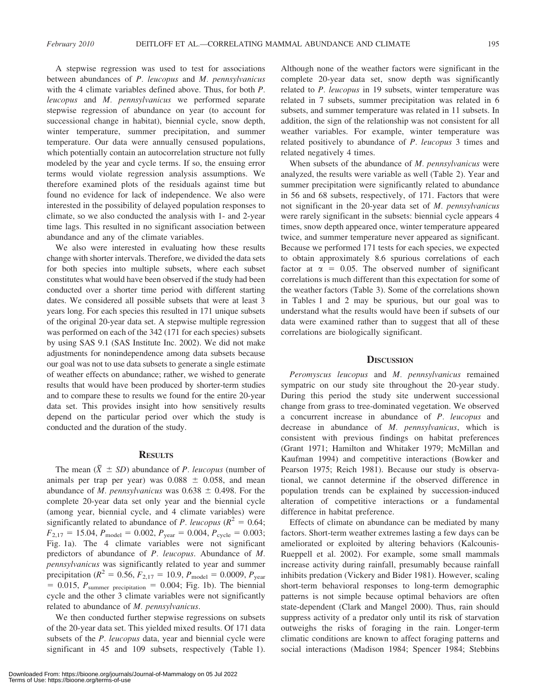A stepwise regression was used to test for associations between abundances of P. leucopus and M. pennsylvanicus with the 4 climate variables defined above. Thus, for both P. leucopus and M. pennsylvanicus we performed separate stepwise regression of abundance on year (to account for successional change in habitat), biennial cycle, snow depth, winter temperature, summer precipitation, and summer temperature. Our data were annually censused populations, which potentially contain an autocorrelation structure not fully modeled by the year and cycle terms. If so, the ensuing error terms would violate regression analysis assumptions. We therefore examined plots of the residuals against time but found no evidence for lack of independence. We also were interested in the possibility of delayed population responses to climate, so we also conducted the analysis with 1- and 2-year time lags. This resulted in no significant association between abundance and any of the climate variables.

We also were interested in evaluating how these results change with shorter intervals. Therefore, we divided the data sets for both species into multiple subsets, where each subset constitutes what would have been observed if the study had been conducted over a shorter time period with different starting dates. We considered all possible subsets that were at least 3 years long. For each species this resulted in 171 unique subsets of the original 20-year data set. A stepwise multiple regression was performed on each of the 342 (171 for each species) subsets by using SAS 9.1 (SAS Institute Inc. 2002). We did not make adjustments for nonindependence among data subsets because our goal was not to use data subsets to generate a single estimate of weather effects on abundance; rather, we wished to generate results that would have been produced by shorter-term studies and to compare these to results we found for the entire 20-year data set. This provides insight into how sensitively results depend on the particular period over which the study is conducted and the duration of the study.

## **RESULTS**

The mean  $(\bar{X} \pm SD)$  abundance of *P. leucopus* (number of animals per trap per year) was  $0.088 \pm 0.058$ , and mean abundance of *M. pennsylvanicus* was  $0.638 \pm 0.498$ . For the complete 20-year data set only year and the biennial cycle (among year, biennial cycle, and 4 climate variables) were significantly related to abundance of P. leucopus ( $R^2 = 0.64$ ;  $F_{2,17} = 15.04, P_{\text{model}} = 0.002, P_{\text{year}} = 0.004, P_{\text{cycle}} = 0.003;$ Fig. 1a). The 4 climate variables were not significant predictors of abundance of P. leucopus. Abundance of M. pennsylvanicus was significantly related to year and summer precipitation ( $R^2 = 0.56$ ,  $F_{2,17} = 10.9$ ,  $P_{\text{model}} = 0.0009$ ,  $P_{\text{year}}$  $= 0.015$ ,  $P_{\text{summer precipitation}} = 0.004$ ; Fig. 1b). The biennial cycle and the other 3 climate variables were not significantly related to abundance of M. pennsylvanicus.

We then conducted further stepwise regressions on subsets of the 20-year data set. This yielded mixed results. Of 171 data subsets of the *P*. leucopus data, year and biennial cycle were significant in 45 and 109 subsets, respectively (Table 1).

Downloaded From: https://bioone.org/journals/Journal-of-Mammalogy on 05 Jul 2022 Terms of Use: https://bioone.org/terms-of-use

Although none of the weather factors were significant in the complete 20-year data set, snow depth was significantly related to P. leucopus in 19 subsets, winter temperature was related in 7 subsets, summer precipitation was related in 6 subsets, and summer temperature was related in 11 subsets. In addition, the sign of the relationship was not consistent for all weather variables. For example, winter temperature was related positively to abundance of P. leucopus 3 times and related negatively 4 times.

When subsets of the abundance of M. pennsylvanicus were analyzed, the results were variable as well (Table 2). Year and summer precipitation were significantly related to abundance in 56 and 68 subsets, respectively, of 171. Factors that were not significant in the 20-year data set of M. pennsylvanicus were rarely significant in the subsets: biennial cycle appears 4 times, snow depth appeared once, winter temperature appeared twice, and summer temperature never appeared as significant. Because we performed 171 tests for each species, we expected to obtain approximately 8.6 spurious correlations of each factor at  $\alpha = 0.05$ . The observed number of significant correlations is much different than this expectation for some of the weather factors (Table 3). Some of the correlations shown in Tables 1 and 2 may be spurious, but our goal was to understand what the results would have been if subsets of our data were examined rather than to suggest that all of these correlations are biologically significant.

#### **DISCUSSION**

Peromyscus leucopus and M. pennsylvanicus remained sympatric on our study site throughout the 20-year study. During this period the study site underwent successional change from grass to tree-dominated vegetation. We observed a concurrent increase in abundance of P. leucopus and decrease in abundance of M. pennsylvanicus, which is consistent with previous findings on habitat preferences (Grant 1971; Hamilton and Whitaker 1979; McMillan and Kaufman 1994) and competitive interactions (Bowker and Pearson 1975; Reich 1981). Because our study is observational, we cannot determine if the observed difference in population trends can be explained by succession-induced alteration of competitive interactions or a fundamental difference in habitat preference.

Effects of climate on abundance can be mediated by many factors. Short-term weather extremes lasting a few days can be ameliorated or exploited by altering behaviors (Kalcounis-Rueppell et al. 2002). For example, some small mammals increase activity during rainfall, presumably because rainfall inhibits predation (Vickery and Bider 1981). However, scaling short-term behavioral responses to long-term demographic patterns is not simple because optimal behaviors are often state-dependent (Clark and Mangel 2000). Thus, rain should suppress activity of a predator only until its risk of starvation outweighs the risks of foraging in the rain. Longer-term climatic conditions are known to affect foraging patterns and social interactions (Madison 1984; Spencer 1984; Stebbins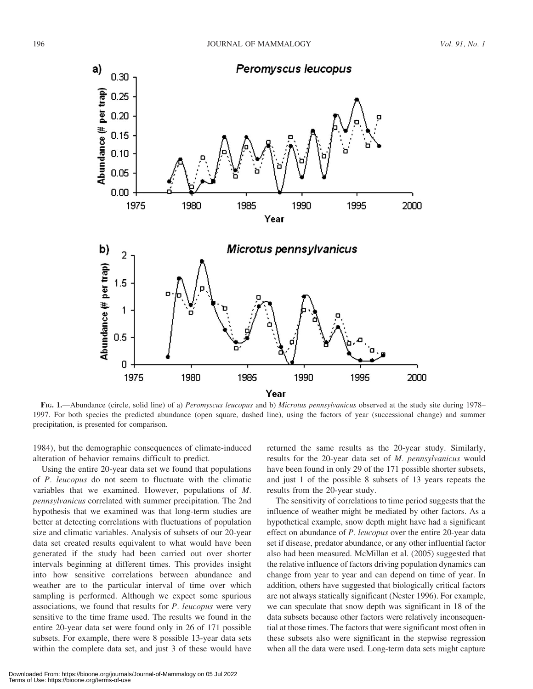

FIG. 1.—Abundance (circle, solid line) of a) Peromyscus leucopus and b) Microtus pennsylvanicus observed at the study site during 1978– 1997. For both species the predicted abundance (open square, dashed line), using the factors of year (successional change) and summer precipitation, is presented for comparison.

1984), but the demographic consequences of climate-induced alteration of behavior remains difficult to predict.

Using the entire 20-year data set we found that populations of P. leucopus do not seem to fluctuate with the climatic variables that we examined. However, populations of M. pennsylvanicus correlated with summer precipitation. The 2nd hypothesis that we examined was that long-term studies are better at detecting correlations with fluctuations of population size and climatic variables. Analysis of subsets of our 20-year data set created results equivalent to what would have been generated if the study had been carried out over shorter intervals beginning at different times. This provides insight into how sensitive correlations between abundance and weather are to the particular interval of time over which sampling is performed. Although we expect some spurious associations, we found that results for  $P$ . leucopus were very sensitive to the time frame used. The results we found in the entire 20-year data set were found only in 26 of 171 possible subsets. For example, there were 8 possible 13-year data sets within the complete data set, and just 3 of these would have returned the same results as the 20-year study. Similarly, results for the 20-year data set of M. pennsylvanicus would have been found in only 29 of the 171 possible shorter subsets, and just 1 of the possible 8 subsets of 13 years repeats the results from the 20-year study.

The sensitivity of correlations to time period suggests that the influence of weather might be mediated by other factors. As a hypothetical example, snow depth might have had a significant effect on abundance of P. leucopus over the entire 20-year data set if disease, predator abundance, or any other influential factor also had been measured. McMillan et al. (2005) suggested that the relative influence of factors driving population dynamics can change from year to year and can depend on time of year. In addition, others have suggested that biologically critical factors are not always statically significant (Nester 1996). For example, we can speculate that snow depth was significant in 18 of the data subsets because other factors were relatively inconsequential at those times. The factors that were significant most often in these subsets also were significant in the stepwise regression when all the data were used. Long-term data sets might capture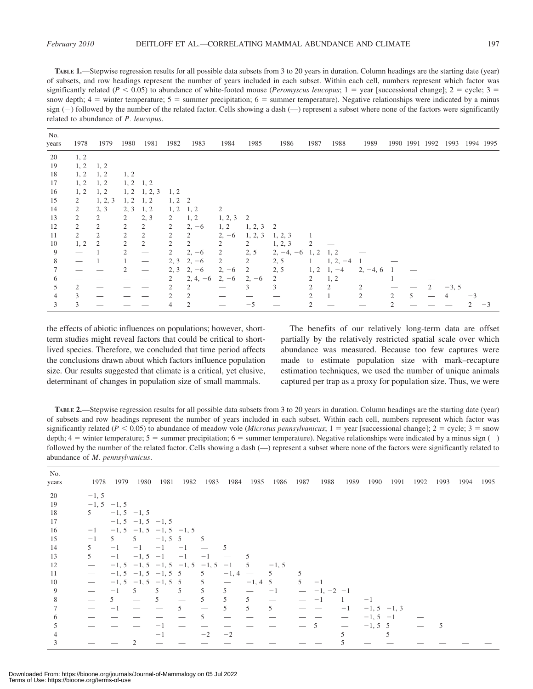TABLE 1.—Stepwise regression results for all possible data subsets from 3 to 20 years in duration. Column headings are the starting date (year) of subsets, and row headings represent the number of years included in each subset. Within each cell, numbers represent which factor was significantly related ( $P < 0.05$ ) to abundance of white-footed mouse (Peromyscus leucopus; 1 = year [successional change]; 2 = cycle; 3 = snow depth;  $4 =$  winter temperature;  $5 =$  summer precipitation;  $6 =$  summer temperature). Negative relationships were indicated by a minus sign  $(-)$  followed by the number of the related factor. Cells showing a dash  $(-)$  represent a subset where none of the factors were significantly related to abundance of P. leucopus.

| No.<br>years | 1978           | 1979           | 1980           | 1981                            | 1982           | 1983                          | 1984    | 1985        | 1986        | 1987 | 1988               | 1989       |   |   | 1990 1991 1992 1993 1994 1995 |      |    |
|--------------|----------------|----------------|----------------|---------------------------------|----------------|-------------------------------|---------|-------------|-------------|------|--------------------|------------|---|---|-------------------------------|------|----|
| 20           | 1, 2           |                |                |                                 |                |                               |         |             |             |      |                    |            |   |   |                               |      |    |
| 19           | 1, 2           | 1, 2           |                |                                 |                |                               |         |             |             |      |                    |            |   |   |                               |      |    |
| 18           | 1, 2           | 1, 2           | 1, 2           |                                 |                |                               |         |             |             |      |                    |            |   |   |                               |      |    |
| 17           | 1, 2           | 1, 2           |                | $1, 2 \quad 1, 2$               |                |                               |         |             |             |      |                    |            |   |   |                               |      |    |
| 16           | 1, 2           | 1, 2           |                | $1, 2$ 1, 2, 3                  | 1, 2           |                               |         |             |             |      |                    |            |   |   |                               |      |    |
| 15           | 2              | 1, 2, 3        | 1, 2           | 1, 2                            | $1, 2 \quad 2$ |                               |         |             |             |      |                    |            |   |   |                               |      |    |
| 14           | $\overline{2}$ | 2, 3           | 2, 3           | 1, 2                            | 1, 2           | 1, 2                          | 2       |             |             |      |                    |            |   |   |                               |      |    |
| 13           | 2              | 2              | 2              | 2, 3                            | 2              | 1, 2                          | 1, 2, 3 | 2           |             |      |                    |            |   |   |                               |      |    |
| 12           | $\overline{2}$ | 2              | 2              | 2                               | 2              | $2, -6$                       | 1, 2    | $1, 2, 3$ 2 |             |      |                    |            |   |   |                               |      |    |
| 11           | 2              | $\mathfrak{2}$ | $\mathfrak{2}$ | 2                               | 2              | 2                             | $2, -6$ | 1, 2, 3     | 1, 2, 3     |      |                    |            |   |   |                               |      |    |
| 10           | 1, 2           | 2              | 2              | $\overline{2}$                  | 2              | 2                             | 2       | 2           | 1, 2, 3     | 2    |                    |            |   |   |                               |      |    |
| 9            |                |                | 2              | $\hspace{0.05cm}$               | 2              | $2, -6$                       | 2       | 2, 5        | $2, -4, -6$ | 1, 2 | 1, 2               |            |   |   |                               |      |    |
| 8            |                |                |                | $\hspace{0.1mm}-\hspace{0.1mm}$ | 2, 3           | $2, -6$                       | 2       | 2           | 2, 5        |      | $1, 2, -4$         |            |   |   |                               |      |    |
|              |                |                |                | $\hspace{0.1mm}-\hspace{0.1mm}$ | 2, 3           | $2, -6$                       | $2, -6$ | 2           | 2, 5        |      | $1, 2 \quad 1, -4$ | $2, -4, 6$ |   |   |                               |      |    |
| 6            |                |                |                |                                 | 2              | $2, 4, -6$                    | $2, -6$ | $2, -6$     | 2           | 2    | 1, 2               |            |   |   |                               |      |    |
| 5            | 2              |                |                |                                 | 2              | 2                             |         | 3           | 3           | 2    | 2                  |            |   |   | $-3, 5$                       |      |    |
|              | 3              |                |                |                                 | 2              | $\mathfrak{D}_{\mathfrak{p}}$ |         |             |             | 2    |                    | 2          | 2 | 5 | 4                             | $-3$ |    |
| 3            | 3              |                |                |                                 | 4              | 2                             |         | $-5$        |             |      |                    |            |   |   |                               |      | -3 |

the effects of abiotic influences on populations; however, shortterm studies might reveal factors that could be critical to shortlived species. Therefore, we concluded that time period affects the conclusions drawn about which factors influence population size. Our results suggested that climate is a critical, yet elusive, determinant of changes in population size of small mammals.

The benefits of our relatively long-term data are offset partially by the relatively restricted spatial scale over which abundance was measured. Because too few captures were made to estimate population size with mark–recapture estimation techniques, we used the number of unique animals captured per trap as a proxy for population size. Thus, we were

TABLE 2.—Stepwise regression results for all possible data subsets from 3 to 20 years in duration. Column headings are the starting date (year) of subsets and row headings represent the number of years included in each subset. Within each cell, numbers represent which factor was significantly related ( $P < 0.05$ ) to abundance of meadow vole (Microtus pennsylvanicus; 1 = year [successional change]; 2 = cycle; 3 = snow depth;  $4 =$  winter temperature;  $5 =$  summer precipitation;  $6 =$  summer temperature). Negative relationships were indicated by a minus sign (-) followed by the number of the related factor. Cells showing a dash (—) represent a subset where none of the factors were significantly related to abundance of M. pennsylvanicus.

| No.<br>years | 1978                            | 1979           | 1980                         | 1981           | 1982                                    | 1983 | 1984                            | 1985       | 1986                          | 1987 | 1988          | 1989 | 1990          | 1991 | 1992 | 1993 | 1994 | 1995 |
|--------------|---------------------------------|----------------|------------------------------|----------------|-----------------------------------------|------|---------------------------------|------------|-------------------------------|------|---------------|------|---------------|------|------|------|------|------|
| 20           | $-1, 5$                         |                |                              |                |                                         |      |                                 |            |                               |      |               |      |               |      |      |      |      |      |
| 19           |                                 | $-1, 5 -1, 5$  |                              |                |                                         |      |                                 |            |                               |      |               |      |               |      |      |      |      |      |
| 18           | 5                               |                | $-1, 5 -1, 5$                |                |                                         |      |                                 |            |                               |      |               |      |               |      |      |      |      |      |
| 17           | $\overline{\phantom{0}}$        |                | $-1, 5 -1, 5 -1, 5$          |                |                                         |      |                                 |            |                               |      |               |      |               |      |      |      |      |      |
| 16           | $-1$                            |                | $-1, 5, -1, 5, -1, 5, -1, 5$ |                |                                         |      |                                 |            |                               |      |               |      |               |      |      |      |      |      |
| 15           | $-1$                            | 5 <sup>7</sup> | $5 -1, 5, 5$                 |                | $\overline{5}$                          |      |                                 |            |                               |      |               |      |               |      |      |      |      |      |
| 14           | 5                               | $-1$           | $-1$                         | $-1$           | $-1$                                    |      | 5                               |            |                               |      |               |      |               |      |      |      |      |      |
| 13           | 5                               | $-1$           | $-1, 5 -1 -1$                |                |                                         | $-1$ |                                 | 5          |                               |      |               |      |               |      |      |      |      |      |
| 12           | $\overline{\phantom{0}}$        |                |                              |                | $-1, 5, -1, 5, -1, 5, -1, 5, -1, 5, -1$ |      |                                 | 5          | $-1, 5$                       |      |               |      |               |      |      |      |      |      |
| 11           | $\overline{\phantom{m}}$        |                | $-1, 5, -1, 5, -1, 5, 5$     |                |                                         | 5    | $-1, 4 -$                       |            | 5                             |      |               |      |               |      |      |      |      |      |
| 10           | $\hspace{0.1mm}-\hspace{0.1mm}$ |                | $-1, 5, -1, 5, -1, 5, 5$     |                |                                         | 5    | $\hspace{0.1mm}-\hspace{0.1mm}$ | $-1, 4, 5$ |                               | 5    | $-1$          |      |               |      |      |      |      |      |
| 9            |                                 | $-1$           | $5\overline{)}$              | 5 <sup>5</sup> | 5                                       | 5    | 5                               |            | $-1$                          |      | $-1, -2$ $-1$ |      |               |      |      |      |      |      |
| 8            |                                 | 5.             |                              | 5              | $\overbrace{\phantom{12333}}$           | 5.   | 5                               | 5          | $\overbrace{\phantom{aaaaa}}$ |      |               | -1   | $-1$          |      |      |      |      |      |
|              |                                 |                |                              |                | 5                                       |      | $\overline{5}$                  | 5          | 5                             |      |               | $-1$ | $-1, 5 -1, 3$ |      |      |      |      |      |
| 6            |                                 |                |                              |                |                                         | 5.   |                                 |            |                               |      |               |      | $-1, 5 -1$    |      |      |      |      |      |
| C.           |                                 |                |                              |                |                                         |      |                                 |            |                               |      | -5            |      | $-1, 5, 5$    |      |      | 5    |      |      |
| 4            |                                 |                |                              |                |                                         | $-2$ | $-2$                            |            |                               |      |               | 5.   |               | -5   |      |      |      |      |
|              |                                 |                |                              |                |                                         |      |                                 |            |                               |      |               |      |               |      |      |      |      |      |

Downloaded From: https://bioone.org/journals/Journal-of-Mammalogy on 05 Jul 2022 Terms of Use: https://bioone.org/terms-of-use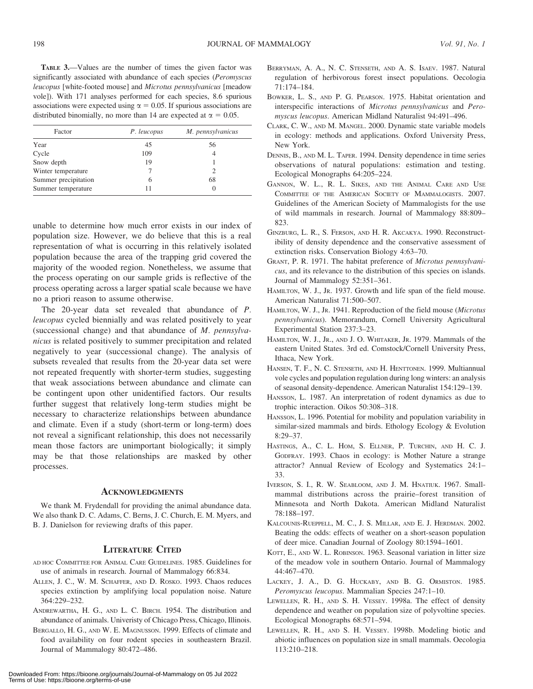TABLE 3.—Values are the number of times the given factor was significantly associated with abundance of each species (Peromyscus leucopus [white-footed mouse] and Microtus pennsylvanicus [meadow vole]). With 171 analyses performed for each species, 8.6 spurious associations were expected using  $\alpha = 0.05$ . If spurious associations are distributed binomially, no more than 14 are expected at  $\alpha = 0.05$ .

| Factor               | P. leucopus | M. pennsylvanicus |
|----------------------|-------------|-------------------|
| Year                 | 45          | 56                |
| Cycle                | 109         |                   |
| Snow depth           | 19          |                   |
| Winter temperature   |             |                   |
| Summer precipitation | 6           | 68                |
| Summer temperature   |             |                   |

unable to determine how much error exists in our index of population size. However, we do believe that this is a real representation of what is occurring in this relatively isolated population because the area of the trapping grid covered the majority of the wooded region. Nonetheless, we assume that the process operating on our sample grids is reflective of the process operating across a larger spatial scale because we have no a priori reason to assume otherwise.

The 20-year data set revealed that abundance of P. leucopus cycled biennially and was related positively to year (successional change) and that abundance of M. pennsylvanicus is related positively to summer precipitation and related negatively to year (successional change). The analysis of subsets revealed that results from the 20-year data set were not repeated frequently with shorter-term studies, suggesting that weak associations between abundance and climate can be contingent upon other unidentified factors. Our results further suggest that relatively long-term studies might be necessary to characterize relationships between abundance and climate. Even if a study (short-term or long-term) does not reveal a significant relationship, this does not necessarily mean those factors are unimportant biologically; it simply may be that those relationships are masked by other processes.

#### **ACKNOWLEDGMENTS**

We thank M. Frydendall for providing the animal abundance data. We also thank D. C. Adams, C. Berns, J. C. Church, E. M. Myers, and B. J. Danielson for reviewing drafts of this paper.

## LITERATURE CITED

- AD HOC COMMITTEE FOR ANIMAL CARE GUIDELINES. 1985. Guidelines for use of animals in research. Journal of Mammalogy 66:834.
- ALLEN, J. C., W. M. SCHAFFER, AND D. ROSKO. 1993. Chaos reduces species extinction by amplifying local population noise. Nature 364:229–232.
- ANDREWARTHA, H. G., AND L. C. BIRCH. 1954. The distribution and abundance of animals. Univeristy of Chicago Press, Chicago, Illinois.
- BERGALLO, H. G., AND W. E. MAGNUSSON. 1999. Effects of climate and food availability on four rodent species in southeastern Brazil. Journal of Mammalogy 80:472–486.
- BERRYMAN, A. A., N. C. STENSETH, AND A. S. ISAEV. 1987. Natural regulation of herbivorous forest insect populations. Oecologia 71:174–184.
- BOWKER, L. S., AND P. G. PEARSON. 1975. Habitat orientation and interspecific interactions of Microtus pennsylvanicus and Peromyscus leucopus. American Midland Naturalist 94:491–496.
- CLARK, C. W., AND M. MANGEL. 2000. Dynamic state variable models in ecology: methods and applications. Oxford University Press, New York.
- DENNIS, B., AND M. L. TAPER. 1994. Density dependence in time series observations of natural populations: estimation and testing. Ecological Monographs 64:205–224.
- GANNON, W. L., R. L. SIKES, AND THE ANIMAL CARE AND USE COMMITTEE OF THE AMERICAN SOCIETY OF MAMMALOGISTS. 2007. Guidelines of the American Society of Mammalogists for the use of wild mammals in research. Journal of Mammalogy 88:809– 823.
- GINZBURG, L. R., S. FERSON, AND H. R. AKCAKYA. 1990. Reconstructibility of density dependence and the conservative assessment of extinction risks. Conservation Biology 4:63–70.
- GRANT, P. R. 1971. The habitat preference of Microtus pennsylvanicus, and its relevance to the distribution of this species on islands. Journal of Mammalogy 52:351–361.
- HAMILTON, W. J., JR. 1937. Growth and life span of the field mouse. American Naturalist 71:500–507.
- HAMILTON, W. J., JR. 1941. Reproduction of the field mouse (Microtus pennsylvanicus). Memorandum, Cornell University Agricultural Experimental Station 237:3–23.
- HAMILTON, W. J., JR., AND J. O. WHITAKER, JR. 1979. Mammals of the eastern United States. 3rd ed. Comstock/Cornell University Press, Ithaca, New York.
- HANSEN, T. F., N. C. STENSETH, AND H. HENTTONEN. 1999. Multiannual vole cycles and population regulation during long winters: an analysis of seasonal density-dependence. American Naturalist 154:129–139.
- HANSSON, L. 1987. An interpretation of rodent dynamics as due to trophic interaction. Oikos 50:308–318.
- HANSSON, L. 1996. Potential for mobility and population variability in similar-sized mammals and birds. Ethology Ecology & Evolution 8:29–37.
- HASTINGS, A., C. L. HOM, S. ELLNER, P. TURCHIN, AND H. C. J. GODFRAY. 1993. Chaos in ecology: is Mother Nature a strange attractor? Annual Review of Ecology and Systematics 24:1– 33.
- IVERSON, S. I., R. W. SEABLOOM, AND J. M. HNATIUK. 1967. Smallmammal distributions across the prairie–forest transition of Minnesota and North Dakota. American Midland Naturalist 78:188–197.
- KALCOUNIS-RUEPPELL, M. C., J. S. MILLAR, AND E. J. HERDMAN. 2002. Beating the odds: effects of weather on a short-season population of deer mice. Canadian Journal of Zoology 80:1594–1601.
- KOTT, E., AND W. L. ROBINSON. 1963. Seasonal variation in litter size of the meadow vole in southern Ontario. Journal of Mammalogy 44:467–470.
- LACKEY, J. A., D. G. HUCKABY, AND B. G. ORMISTON. 1985. Peromyscus leucopus. Mammalian Species 247:1–10.
- LEWELLEN, R. H., AND S. H. VESSEY. 1998a. The effect of density dependence and weather on population size of polyvoltine species. Ecological Monographs 68:571–594.
- LEWELLEN, R. H., AND S. H. VESSEY. 1998b. Modeling biotic and abiotic influences on population size in small mammals. Oecologia 113:210–218.